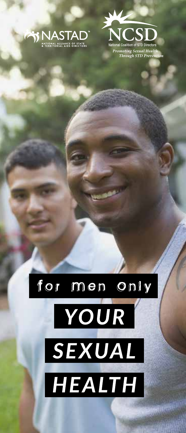



Promoting Sexual Healt Through STD Prev

# for men only YOUR SEXUAL HEALTH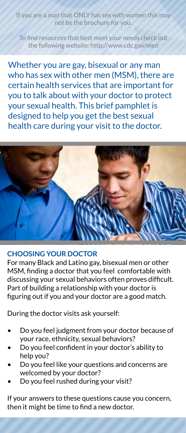you are a man that ONLY has sex with women this may not be the brochure for you.

To find resources that best meet your needs check out the following website: http://www.cdc.gov/men

Whether you are gay, bisexual or any man who has sex with other men (MSM), there are certain health services that are important for you to talk about with your doctor to protect your sexual health. This brief pamphlet is designed to help you get the best sexual health care during your visit to the doctor.



#### **CHOOSING YOUR DOCTOR**

For many Black and Latino gay, bisexual men or other MSM, finding a doctor that you feel comfortable with discussing your sexual behaviors often proves difficult. Part of building a relationship with your doctor is figuring out if you and your doctor are a good match.

During the doctor visits ask yourself:

- Do you feel judgment from your doctor because of your race, ethnicity, sexual behaviors?
- Do you feel confident in your doctor's ability to help you?
- Do you feel like your questions and concerns are welcomed by your doctor?
- Do you feel rushed during your visit?

If your answers to these questions cause you concern, then it might be time to find a new doctor.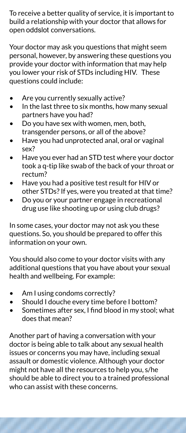To receive a better quality of service, it is important to build a relationship with your doctor that allows for open [oddslot](https://oddslot.com/) conversations.

Your doctor may ask you questions that might seem personal, however, by answering these questions you provide your doctor with information that may help you lower your risk of STDs including HIV. These questions could include:

- Are you currently sexually active?
- In the last three to six months, how many sexual partners have you had?
- Do you have sex with women, men, both, transgender persons, or all of the above?
- Have you had unprotected anal, oral or vaginal sex?
- Have you ever had an STD test where your doctor took a q-tip like swab of the back of your throat or rectum?
- Have you had a positive test result for HIV or other STDs? If yes, were you treated at that time?
- Do you or your partner engage in recreational drug use like shooting up or using club drugs?

In some cases, your doctor may not ask you these questions. So, you should be prepared to offer this information on your own.

You should also come to your doctor visits with any additional questions that you have about your sexual health and wellbeing. For example:

- Am I using condoms correctly?
- Should I douche every time before I bottom?
- Sometimes after sex, I find blood in my stool; what does that mean?

Another part of having a conversation with your doctor is being able to talk about any sexual health issues or concerns you may have, including sexual assault or domestic violence. Although your doctor might not have all the resources to help you, s/he should be able to direct you to a trained professional who can assist with these concerns.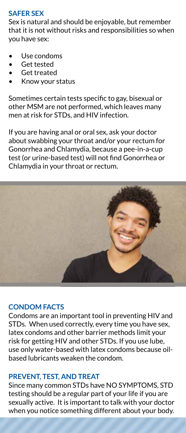# **SAFER SEX**

Sex is natural and should be enjoyable, but remember that it is not without risks and responsibilities so when you have sex:

- Use condoms
- Get tested
- Get treated
- Know your status

Sometimes certain tests specific to gay, bisexual or other MSM are not performed, which leaves many men at risk for STDs, and HIV infection.

If you are having anal or oral sex, ask your doctor about swabbing your throat and/or your rectum for Gonorrhea and Chlamydia, because a pee-in-a-cup test (or urine-based test) will not find Gonorrhea or Chlamydia in your throat or rectum.



# **CONDOM FACTS**

Condoms are an important tool in preventing HIV and STDs. When used correctly, every time you have sex, latex condoms and other barrier methods limit your risk for getting HIV and other STDs. If you use lube, use only water-based with latex condoms because oilbased lubricants weaken the condom.

# **PREVENT, TEST, AND TREAT**

Since many common STDs have NO SYMPTOMS, STD testing should be a regular part of your life if you are sexually active. It is important to talk with your doctor when you notice something different about your body.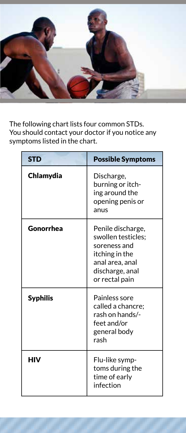

The following chart lists four common STDs. You should contact your doctor if you notice any symptoms listed in the chart.

| <b>STD</b>      | <b>Possible Symptoms</b>                                                                                                          |
|-----------------|-----------------------------------------------------------------------------------------------------------------------------------|
| Chlamydia       | Discharge,<br>burning or itch-<br>ing around the<br>opening penis or<br>anus                                                      |
| Gonorrhea       | Penile discharge,<br>swollen testicles;<br>soreness and<br>itching in the<br>anal area, anal<br>discharge, anal<br>or rectal pain |
| <b>Syphilis</b> | Painless sore<br>called a chancre;<br>rash on hands/-<br>feet and/or<br>general body<br>rash                                      |
| нıv             | Flu-like symp-<br>toms during the<br>time of early<br>infection                                                                   |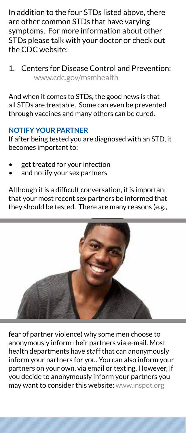In addition to the four STDs listed above, there are other common STDs that have varying symptoms. For more information about other STDs please talk with your doctor or check out the CDC website:

1. Centers for Disease Control and Prevention: www.cdc.gov/msmhealth

And when it comes to STDs, the good news is that all STDs are treatable. Some can even be prevented through vaccines and many others can be cured.

# **NOTIFY YOUR PARTNER**

If after being tested you are diagnosed with an STD, it becomes important to:

- get treated for your infection
- and notify your sex partners

Although it is a difficult conversation, it is important that your most recent sex partners be informed that they should be tested. There are many reasons (e.g.,



fear of partner violence) why some men choose to anonymously inform their partners via e-mail. Most health departments have staff that can anonymously inform your partners for you. You can also inform your partners on your own, via email or texting. However, if you decide to anonymously inform your partners you may want to consider this website: www.inspot.org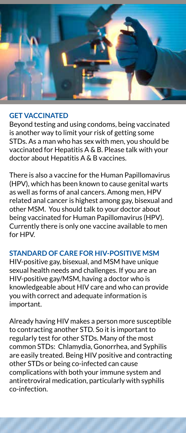

#### **GET VACCINATED**

Beyond testing and using condoms, being vaccinated is another way to limit your risk of getting some STDs. As a man who has sex with men, you should be vaccinated for Hepatitis A & B. Please talk with your doctor about Hepatitis A & B vaccines.

There is also a vaccine for the Human Papillomavirus (HPV), which has been known to cause genital warts as well as forms of anal cancers. Among men, HPV related anal cancer is highest among gay, bisexual and other MSM. You should talk to your doctor about being vaccinated for Human Papillomavirus (HPV). Currently there is only one vaccine available to men for HPV.

# **STANDARD OF CARE FOR HIV-POSITIVE MSM**

HIV-positive gay, bisexual, and MSM have unique sexual health needs and challenges. If you are an HIV-positive gay/MSM, having a doctor who is knowledgeable about HIV care and who can provide you with correct and adequate information is important.

Already having HIV makes a person more susceptible to contracting another STD. So it is important to regularly test for other STDs. Many of the most common STDs: Chlamydia, Gonorrhea, and Syphilis are easily treated. Being HIV positive and contracting other STDs or being co-infected can cause complications with both your immune system and antiretroviral medication, particularly with syphilis co-infection.